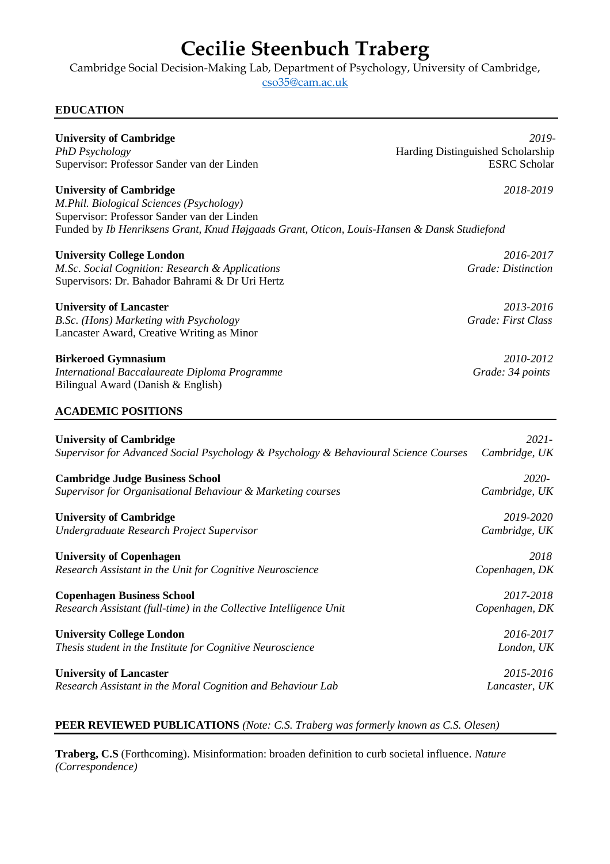# **Cecilie Steenbuch Traberg**

Cambridge Social Decision-Making Lab, Department of Psychology, University of Cambridge,

[cso35@cam.ac.uk](mailto:cso35@cam.ac.uk)

# **EDUCATION**

| <b>University of Cambridge</b>                                                                                                                                                                                           | 2019-                             |
|--------------------------------------------------------------------------------------------------------------------------------------------------------------------------------------------------------------------------|-----------------------------------|
| <b>PhD</b> Psychology                                                                                                                                                                                                    | Harding Distinguished Scholarship |
| Supervisor: Professor Sander van der Linden                                                                                                                                                                              | <b>ESRC</b> Scholar               |
| <b>University of Cambridge</b><br>M.Phil. Biological Sciences (Psychology)<br>Supervisor: Professor Sander van der Linden<br>Funded by Ib Henriksens Grant, Knud Højgaads Grant, Oticon, Louis-Hansen & Dansk Studiefond | 2018-2019                         |
|                                                                                                                                                                                                                          |                                   |
| <b>University College London</b><br>M.Sc. Social Cognition: Research & Applications<br>Supervisors: Dr. Bahador Bahrami & Dr Uri Hertz                                                                                   | 2016-2017<br>Grade: Distinction   |
| <b>University of Lancaster</b><br>B.Sc. (Hons) Marketing with Psychology<br>Lancaster Award, Creative Writing as Minor                                                                                                   | 2013-2016<br>Grade: First Class   |
| <b>Birkeroed Gymnasium</b><br>International Baccalaureate Diploma Programme<br>Bilingual Award (Danish & English)                                                                                                        | 2010-2012<br>Grade: 34 points     |
| <b>ACADEMIC POSITIONS</b>                                                                                                                                                                                                |                                   |
| <b>University of Cambridge</b>                                                                                                                                                                                           | $2021 -$                          |
| Supervisor for Advanced Social Psychology & Psychology & Behavioural Science Courses                                                                                                                                     | Cambridge, UK                     |
| <b>Cambridge Judge Business School</b>                                                                                                                                                                                   | 2020-                             |
| Supervisor for Organisational Behaviour & Marketing courses                                                                                                                                                              | Cambridge, UK                     |
| <b>University of Cambridge</b>                                                                                                                                                                                           | 2019-2020                         |
| Undergraduate Research Project Supervisor                                                                                                                                                                                | Cambridge, UK                     |
| <b>University of Copenhagen</b>                                                                                                                                                                                          | 2018                              |
| Research Assistant in the Unit for Cognitive Neuroscience                                                                                                                                                                | Copenhagen, DK                    |
| <b>Copenhagen Business School</b>                                                                                                                                                                                        | 2017-2018                         |
| Research Assistant (full-time) in the Collective Intelligence Unit                                                                                                                                                       | Copenhagen, DK                    |
| <b>University College London</b>                                                                                                                                                                                         | 2016-2017                         |
| Thesis student in the Institute for Cognitive Neuroscience                                                                                                                                                               | London, UK                        |
| <b>University of Lancaster</b>                                                                                                                                                                                           | 2015-2016                         |
| Research Assistant in the Moral Cognition and Behaviour Lab                                                                                                                                                              | Lancaster, UK                     |

# **PEER REVIEWED PUBLICATIONS** *(Note: C.S. Traberg was formerly known as C.S. Olesen)*

**Traberg, C.S** (Forthcoming). Misinformation: broaden definition to curb societal influence. *Nature (Correspondence)*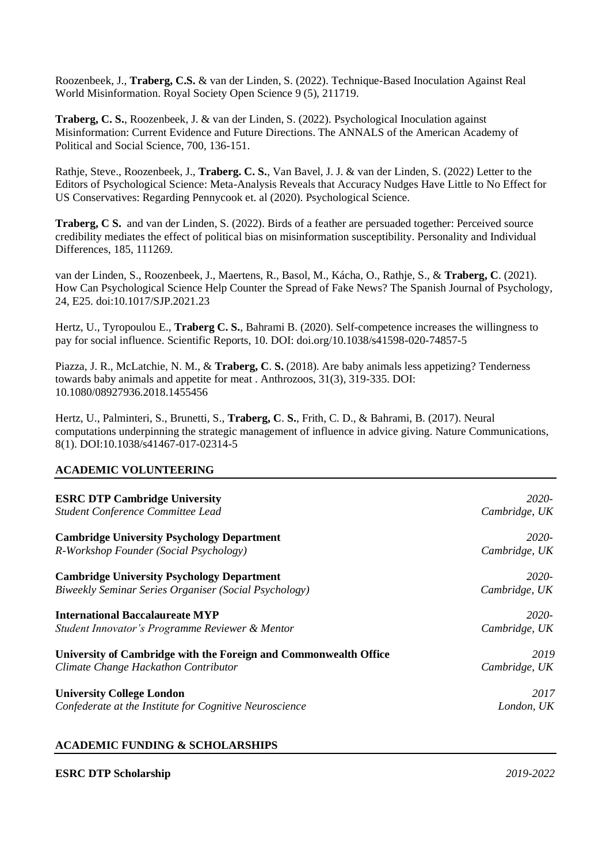Roozenbeek, J., **Traberg, C.S.** & van der Linden, S. (2022). Technique-Based Inoculation Against Real World Misinformation. Royal Society Open Science 9 (5), 211719.

**Traberg, C. S.**, Roozenbeek, J. & van der Linden, S. (2022). Psychological Inoculation against Misinformation: Current Evidence and Future Directions. The ANNALS of the American Academy of Political and Social Science, 700, 136-151.

Rathje, Steve., Roozenbeek, J., **Traberg. C. S.**, Van Bavel, J. J. & van der Linden, S. (2022) Letter to the Editors of Psychological Science: Meta-Analysis Reveals that Accuracy Nudges Have Little to No Effect for US Conservatives: Regarding Pennycook et. al (2020). Psychological Science.

**Traberg, C S.** and van der Linden, S. (2022). Birds of a feather are persuaded together: Perceived source credibility mediates the effect of political bias on misinformation susceptibility. Personality and Individual Differences, 185, 111269.

van der Linden, S., Roozenbeek, J., Maertens, R., Basol, M., Kácha, O., Rathje, S., & **Traberg, C**. (2021). How Can Psychological Science Help Counter the Spread of Fake News? The Spanish Journal of Psychology, 24, E25. doi:10.1017/SJP.2021.23

Hertz, U., Tyropoulou E., **Traberg C. S.**, Bahrami B. (2020). Self-competence increases the willingness to pay for social influence. Scientific Reports, 10. DOI: doi.org/10.1038/s41598-020-74857-5

Piazza, J. R., McLatchie, N. M., & **Traberg, C**. **S.** (2018). Are baby animals less appetizing? Tenderness towards baby animals and appetite for meat . Anthrozoos, 31(3), 319-335. DOI: 10.1080/08927936.2018.1455456

Hertz, U., Palminteri, S., Brunetti, S., **Traberg, C**. **S.**, Frith, C. D., & Bahrami, B. (2017). Neural computations underpinning the strategic management of influence in advice giving. Nature Communications, 8(1). DOI:10.1038/s41467-017-02314-5

## **ACADEMIC VOLUNTEERING**

| <b>ESRC DTP Cambridge University</b>                             | 2020-         |
|------------------------------------------------------------------|---------------|
| Student Conference Committee Lead                                | Cambridge, UK |
| <b>Cambridge University Psychology Department</b>                | 2020-         |
| R-Workshop Founder (Social Psychology)                           | Cambridge, UK |
| <b>Cambridge University Psychology Department</b>                | 2020-         |
| Biweekly Seminar Series Organiser (Social Psychology)            | Cambridge, UK |
| <b>International Baccalaureate MYP</b>                           | 2020-         |
| Student Innovator's Programme Reviewer & Mentor                  | Cambridge, UK |
| University of Cambridge with the Foreign and Commonwealth Office | 2019          |
| Climate Change Hackathon Contributor                             | Cambridge, UK |
| <b>University College London</b>                                 | 2017          |
| Confederate at the Institute for Cognitive Neuroscience          | London, UK    |

#### **ACADEMIC FUNDING & SCHOLARSHIPS**

#### **ESRC DTP Scholarship** *2019-2022*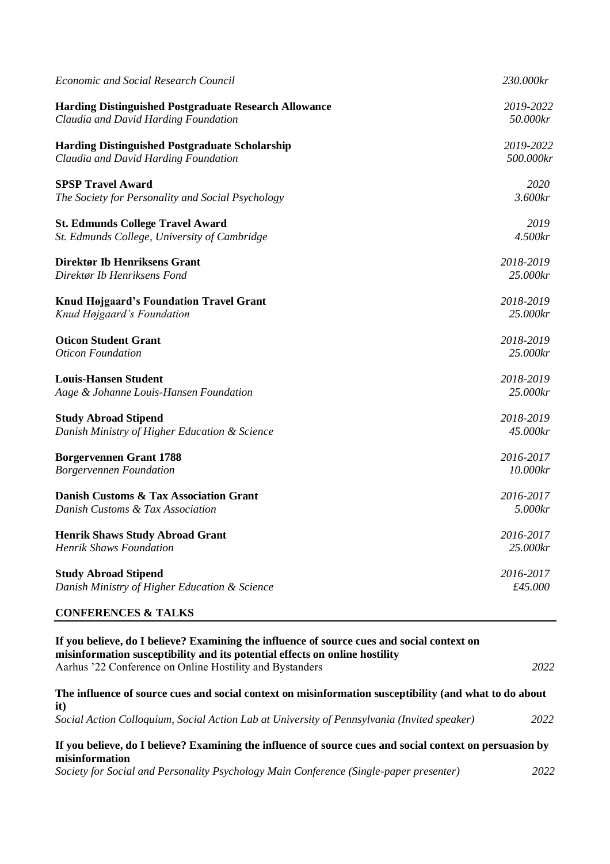| <b>Economic and Social Research Council</b>                  | 230.000kr |
|--------------------------------------------------------------|-----------|
| <b>Harding Distinguished Postgraduate Research Allowance</b> | 2019-2022 |
| Claudia and David Harding Foundation                         | 50.000kr  |
| <b>Harding Distinguished Postgraduate Scholarship</b>        | 2019-2022 |
| Claudia and David Harding Foundation                         | 500.000kr |
| <b>SPSP Travel Award</b>                                     | 2020      |
| The Society for Personality and Social Psychology            | 3.600kr   |
| <b>St. Edmunds College Travel Award</b>                      | 2019      |
| St. Edmunds College, University of Cambridge                 | 4.500kr   |
| Direktør Ib Henriksens Grant                                 | 2018-2019 |
| Direktør Ib Henriksens Fond                                  | 25.000kr  |
| <b>Knud Højgaard's Foundation Travel Grant</b>               | 2018-2019 |
| Knud Højgaard's Foundation                                   | 25.000kr  |
| <b>Oticon Student Grant</b>                                  | 2018-2019 |
| <b>Oticon Foundation</b>                                     | 25.000kr  |
| <b>Louis-Hansen Student</b>                                  | 2018-2019 |
| Aage & Johanne Louis-Hansen Foundation                       | 25.000kr  |
| <b>Study Abroad Stipend</b>                                  | 2018-2019 |
| Danish Ministry of Higher Education & Science                | 45.000kr  |
| <b>Borgervennen Grant 1788</b>                               | 2016-2017 |
| <b>Borgervennen Foundation</b>                               | 10.000kr  |
| Danish Customs & Tax Association Grant                       | 2016-2017 |
| Danish Customs & Tax Association                             | 5.000kr   |
| <b>Henrik Shaws Study Abroad Grant</b>                       | 2016-2017 |
| <b>Henrik Shaws Foundation</b>                               | 25.000kr  |
| <b>Study Abroad Stipend</b>                                  | 2016-2017 |
| Danish Ministry of Higher Education & Science                | £45.000   |
| <b>CONFERENCES &amp; TALKS</b>                               |           |

| If you believe, do I believe? Examining the influence of source cues and social context on<br>misinformation susceptibility and its potential effects on online hostility |      |
|---------------------------------------------------------------------------------------------------------------------------------------------------------------------------|------|
| Aarhus '22 Conference on Online Hostility and Bystanders                                                                                                                  | 2022 |
| The influence of source cues and social context on misinformation susceptibility (and what to do about<br>it)                                                             |      |
| Social Action Colloquium, Social Action Lab at University of Pennsylvania (Invited speaker)                                                                               | 2022 |
| If you believe, do I believe? Examining the influence of source cues and social context on persuasion by<br>misinformation                                                |      |
| Society for Social and Personality Psychology Main Conference (Single-paper presenter)                                                                                    | 2022 |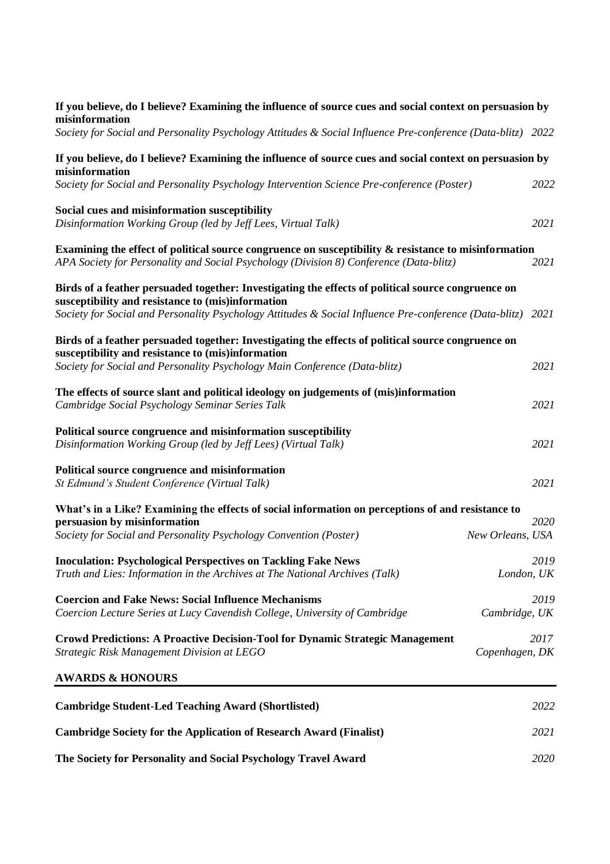| If you believe, do I believe? Examining the influence of source cues and social context on persuasion by<br>misinformation                                                                                               |                  |      |
|--------------------------------------------------------------------------------------------------------------------------------------------------------------------------------------------------------------------------|------------------|------|
| Society for Social and Personality Psychology Attitudes & Social Influence Pre-conference (Data-blitz) 2022                                                                                                              |                  |      |
| If you believe, do I believe? Examining the influence of source cues and social context on persuasion by<br>misinformation<br>Society for Social and Personality Psychology Intervention Science Pre-conference (Poster) |                  | 2022 |
| Social cues and misinformation susceptibility<br>Disinformation Working Group (led by Jeff Lees, Virtual Talk)                                                                                                           |                  | 2021 |
| Examining the effect of political source congruence on susceptibility & resistance to misinformation<br>APA Society for Personality and Social Psychology (Division 8) Conference (Data-blitz)                           |                  | 2021 |
| Birds of a feather persuaded together: Investigating the effects of political source congruence on<br>susceptibility and resistance to (mis)information                                                                  |                  |      |
| Society for Social and Personality Psychology Attitudes & Social Influence Pre-conference (Data-blitz)                                                                                                                   |                  | 2021 |
| Birds of a feather persuaded together: Investigating the effects of political source congruence on<br>susceptibility and resistance to (mis)information                                                                  |                  |      |
| Society for Social and Personality Psychology Main Conference (Data-blitz)                                                                                                                                               |                  | 2021 |
| The effects of source slant and political ideology on judgements of (mis)information<br>Cambridge Social Psychology Seminar Series Talk                                                                                  |                  | 2021 |
| Political source congruence and misinformation susceptibility<br>Disinformation Working Group (led by Jeff Lees) (Virtual Talk)                                                                                          |                  | 2021 |
| Political source congruence and misinformation<br>St Edmund's Student Conference (Virtual Talk)                                                                                                                          |                  | 2021 |
| What's in a Like? Examining the effects of social information on perceptions of and resistance to                                                                                                                        |                  |      |
| persuasion by misinformation<br>Society for Social and Personality Psychology Convention (Poster)                                                                                                                        | New Orleans, USA | 2020 |
| <b>Inoculation: Psychological Perspectives on Tackling Fake News</b><br>Truth and Lies: Information in the Archives at The National Archives (Talk)                                                                      | London, UK       | 2019 |
| <b>Coercion and Fake News: Social Influence Mechanisms</b><br>Coercion Lecture Series at Lucy Cavendish College, University of Cambridge                                                                                 | Cambridge, UK    | 2019 |
| Crowd Predictions: A Proactive Decision-Tool for Dynamic Strategic Management<br>Strategic Risk Management Division at LEGO                                                                                              | Copenhagen, DK   | 2017 |
| <b>AWARDS &amp; HONOURS</b>                                                                                                                                                                                              |                  |      |
| <b>Cambridge Student-Led Teaching Award (Shortlisted)</b>                                                                                                                                                                |                  | 2022 |
| <b>Cambridge Society for the Application of Research Award (Finalist)</b>                                                                                                                                                |                  | 2021 |
| The Society for Personality and Social Psychology Travel Award                                                                                                                                                           |                  | 2020 |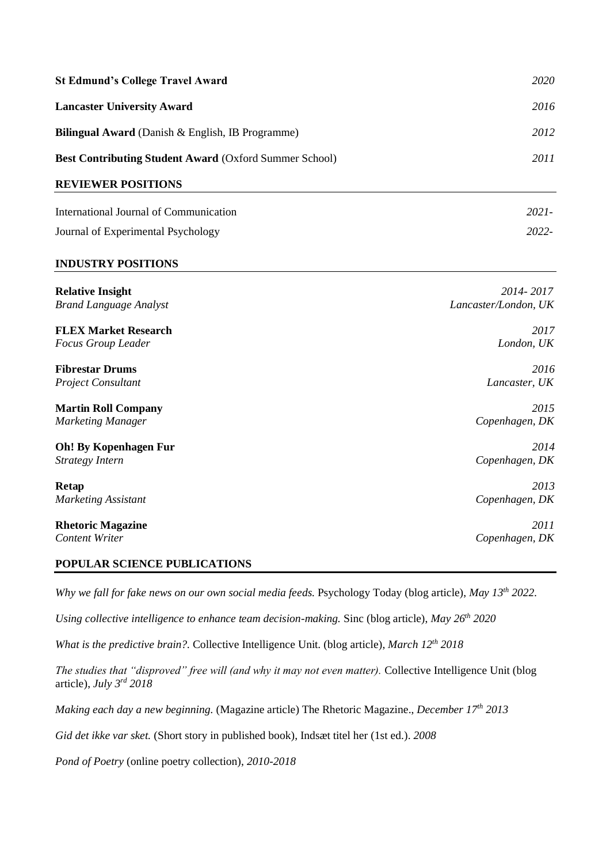| <b>St Edmund's College Travel Award</b>                       | <i>2020</i> |
|---------------------------------------------------------------|-------------|
| <b>Lancaster University Award</b>                             | 2016        |
| <b>Bilingual Award</b> (Danish & English, IB Programme)       | 2012        |
| <b>Best Contributing Student Award (Oxford Summer School)</b> | 2011        |
| <b>REVIEWER POSITIONS</b>                                     |             |
| International Journal of Communication                        | $2021 -$    |

Journal of Experimental Psychology *2022-*

# **INDUSTRY POSITIONS**

| <b>Relative Insight</b>       | 2014-2017            |
|-------------------------------|----------------------|
| <b>Brand Language Analyst</b> | Lancaster/London, UK |
| <b>FLEX Market Research</b>   | 2017                 |
| <b>Focus Group Leader</b>     | London, UK           |
| <b>Fibrestar Drums</b>        | 2016                 |
| <b>Project Consultant</b>     | Lancaster, UK        |
| <b>Martin Roll Company</b>    | 2015                 |
| <b>Marketing Manager</b>      | Copenhagen, DK       |
| <b>Oh!</b> By Kopenhagen Fur  | 2014                 |
| Strategy Intern               | Copenhagen, DK       |
| <b>Retap</b>                  | 2013                 |
| <b>Marketing Assistant</b>    | Copenhagen, DK       |
| <b>Rhetoric Magazine</b>      | 2011                 |
| <b>Content Writer</b>         | Copenhagen, DK       |

#### **POPULAR SCIENCE PUBLICATIONS**

*Why we fall for fake news on our own social media feeds. Psychology Today (blog article), <i>May 13<sup>th</sup>* 2022.

*Using collective intelligence to enhance team decision-making.* Sinc (blog article), *May 26th 2020*

*What is the predictive brain?.* Collective Intelligence Unit. (blog article), *March 12th 2018*

*The studies that "disproved" free will (and why it may not even matter).* Collective Intelligence Unit (blog article), *July 3rd 2018*

*Making each day a new beginning.* (Magazine article) The Rhetoric Magazine., *December 17th 2013*

*Gid det ikke var sket.* (Short story in published book), Indsæt titel her (1st ed.). *2008*

*Pond of Poetry* (online poetry collection), *2010-2018*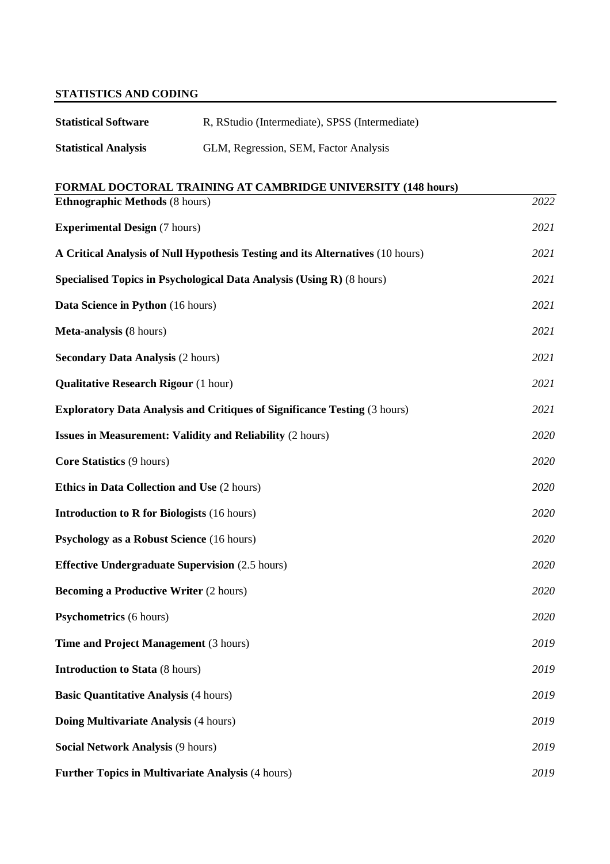# **STATISTICS AND CODING**

| <b>Statistical Software</b> | R, RStudio (Intermediate), SPSS (Intermediate) |
|-----------------------------|------------------------------------------------|
| <b>Statistical Analysis</b> | GLM, Regression, SEM, Factor Analysis          |

# **FORMAL DOCTORAL TRAINING AT CAMBRIDGE UNIVERSITY (148 hours)**

| <b>Ethnographic Methods (8 hours)</b>                                            | 2022 |
|----------------------------------------------------------------------------------|------|
| <b>Experimental Design (7 hours)</b>                                             | 2021 |
| A Critical Analysis of Null Hypothesis Testing and its Alternatives (10 hours)   | 2021 |
| Specialised Topics in Psychological Data Analysis (Using R) (8 hours)            | 2021 |
| Data Science in Python (16 hours)                                                | 2021 |
| Meta-analysis (8 hours)                                                          | 2021 |
| <b>Secondary Data Analysis (2 hours)</b>                                         | 2021 |
| <b>Qualitative Research Rigour (1 hour)</b>                                      | 2021 |
| <b>Exploratory Data Analysis and Critiques of Significance Testing (3 hours)</b> | 2021 |
| <b>Issues in Measurement: Validity and Reliability (2 hours)</b>                 | 2020 |
| <b>Core Statistics (9 hours)</b>                                                 | 2020 |
| <b>Ethics in Data Collection and Use (2 hours)</b>                               | 2020 |
| <b>Introduction to R for Biologists (16 hours)</b>                               | 2020 |
| Psychology as a Robust Science (16 hours)                                        | 2020 |
| <b>Effective Undergraduate Supervision (2.5 hours)</b>                           | 2020 |
| <b>Becoming a Productive Writer (2 hours)</b>                                    | 2020 |
| <b>Psychometrics</b> (6 hours)                                                   | 2020 |
| Time and Project Management (3 hours)                                            | 2019 |
| <b>Introduction to Stata (8 hours)</b>                                           | 2019 |
| <b>Basic Quantitative Analysis (4 hours)</b>                                     | 2019 |
| Doing Multivariate Analysis (4 hours)                                            | 2019 |
| <b>Social Network Analysis (9 hours)</b>                                         | 2019 |
| <b>Further Topics in Multivariate Analysis (4 hours)</b>                         | 2019 |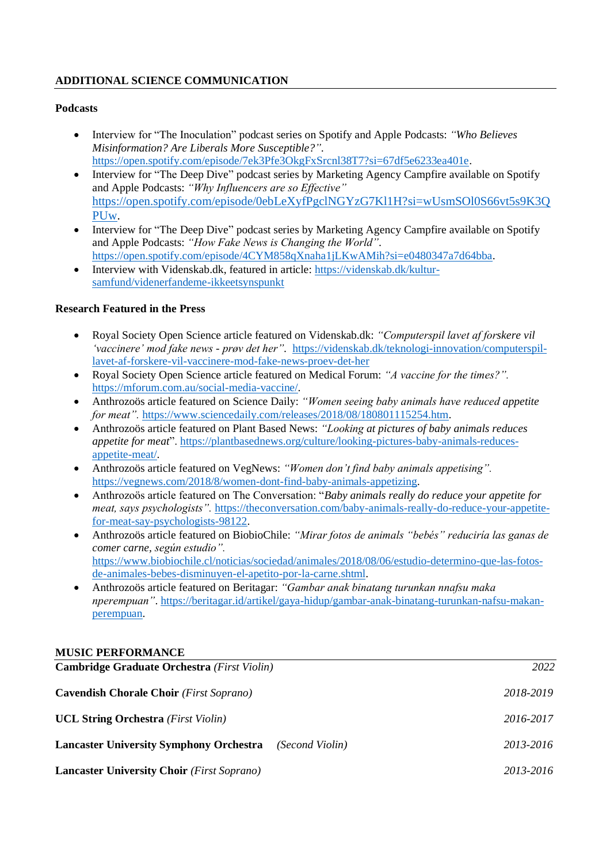# **ADDITIONAL SCIENCE COMMUNICATION**

### **Podcasts**

- Interview for "The Inoculation" podcast series on Spotify and Apple Podcasts: *"Who Believes Misinformation? Are Liberals More Susceptible?".*  [https://open.spotify.com/episode/7ek3Pfe3OkgFxSrcnl38T7?si=67df5e6233ea401e.](https://open.spotify.com/episode/7ek3Pfe3OkgFxSrcnl38T7?si=67df5e6233ea401e)
- Interview for "The Deep Dive" podcast series by Marketing Agency Campfire available on Spotify and Apple Podcasts: *"Why Influencers are so Effective"* [https://open.spotify.com/episode/0ebLeXyfPgclNGYzG7Kl1H?si=wUsmSOl0S66vt5s9K3Q](https://open.spotify.com/episode/0ebLeXyfPgclNGYzG7Kl1H?si=wUsmSOl0S66vt5s9K3QPUw) [PUw.](https://open.spotify.com/episode/0ebLeXyfPgclNGYzG7Kl1H?si=wUsmSOl0S66vt5s9K3QPUw)
- Interview for "The Deep Dive" podcast series by Marketing Agency Campfire available on Spotify and Apple Podcasts: *"How Fake News is Changing the World".*  [https://open.spotify.com/episode/4CYM858qXnaha1jLKwAMih?si=e0480347a7d64bba.](https://open.spotify.com/episode/4CYM858qXnaha1jLKwAMih?si=e0480347a7d64bba)
- Interview with Videnskab.dk, featured in article: [https://videnskab.dk/kultur](https://videnskab.dk/kultur-samfund/videnerfandeme-ikkeetsynspunkt)[samfund/videnerfandeme-ikkeetsynspunkt](https://videnskab.dk/kultur-samfund/videnerfandeme-ikkeetsynspunkt)

#### **Research Featured in the Press**

- Royal Society Open Science article featured on Videnskab.dk: *"Computerspil lavet af forskere vil 'vaccinere' mod fake news - prøv det her".* [https://videnskab.dk/teknologi-innovation/computerspil](https://videnskab.dk/teknologi-innovation/computerspil-lavet-af-forskere-vil-vaccinere-mod-fake-news-proev-det-her)[lavet-af-forskere-vil-vaccinere-mod-fake-news-proev-det-her](https://videnskab.dk/teknologi-innovation/computerspil-lavet-af-forskere-vil-vaccinere-mod-fake-news-proev-det-her)
- Royal Society Open Science article featured on Medical Forum: *"A vaccine for the times?".*  [https://mforum.com.au/social-media-vaccine/.](https://mforum.com.au/social-media-vaccine/)
- Anthrozoös article featured on Science Daily: *"Women seeing baby animals have reduced appetite for meat".* [https://www.sciencedaily.com/releases/2018/08/180801115254.htm.](https://www.sciencedaily.com/releases/2018/08/180801115254.htm)
- Anthrozoös article featured on Plant Based News: *"Looking at pictures of baby animals reduces appetite for meat*"[. https://plantbasednews.org/culture/looking-pictures-baby-animals-reduces](https://plantbasednews.org/culture/looking-pictures-baby-animals-reduces-appetite-meat/)[appetite-meat/.](https://plantbasednews.org/culture/looking-pictures-baby-animals-reduces-appetite-meat/)
- Anthrozoös article featured on VegNews: *"Women don't find baby animals appetising".*  [https://vegnews.com/2018/8/women-dont-find-baby-animals-appetizing.](https://vegnews.com/2018/8/women-dont-find-baby-animals-appetizing)
- Anthrozoös article featured on The Conversation: "*Baby animals really do reduce your appetite for meat, says psychologists".* [https://theconversation.com/baby-animals-really-do-reduce-your-appetite](https://theconversation.com/baby-animals-really-do-reduce-your-appetite-for-meat-say-psychologists-98122)[for-meat-say-psychologists-98122.](https://theconversation.com/baby-animals-really-do-reduce-your-appetite-for-meat-say-psychologists-98122)
- Anthrozoös article featured on BiobioChile: *"Mirar fotos de animals "bebés" reduciría las ganas de comer carne, según estudio".* [https://www.biobiochile.cl/noticias/sociedad/animales/2018/08/06/estudio-determino-que-las-fotos](https://www.biobiochile.cl/noticias/sociedad/animales/2018/08/06/estudio-determino-que-las-fotos-de-animales-bebes-disminuyen-el-apetito-por-la-carne.shtml)[de-animales-bebes-disminuyen-el-apetito-por-la-carne.shtml.](https://www.biobiochile.cl/noticias/sociedad/animales/2018/08/06/estudio-determino-que-las-fotos-de-animales-bebes-disminuyen-el-apetito-por-la-carne.shtml)
- Anthrozoös article featured on Beritagar: *"Gambar anak binatang turunkan nnafsu maka nperempuan"*[. https://beritagar.id/artikel/gaya-hidup/gambar-anak-binatang-turunkan-nafsu-makan](https://beritagar.id/artikel/gaya-hidup/gambar-anak-binatang-turunkan-nafsu-makan-perempuan)[perempuan.](https://beritagar.id/artikel/gaya-hidup/gambar-anak-binatang-turunkan-nafsu-makan-perempuan)

#### **MUSIC PERFORMANCE**

| Cambridge Graduate Orchestra (First Violin)                       | 2022      |
|-------------------------------------------------------------------|-----------|
| <b>Cavendish Chorale Choir</b> ( <i>First Soprano</i> )           | 2018-2019 |
| <b>UCL String Orchestra</b> ( <i>First Violin</i> )               | 2016-2017 |
| <b>Lancaster University Symphony Orchestra</b><br>(Second Violin) | 2013-2016 |
| <b>Lancaster University Choir</b> ( <i>First Soprano</i> )        | 2013-2016 |